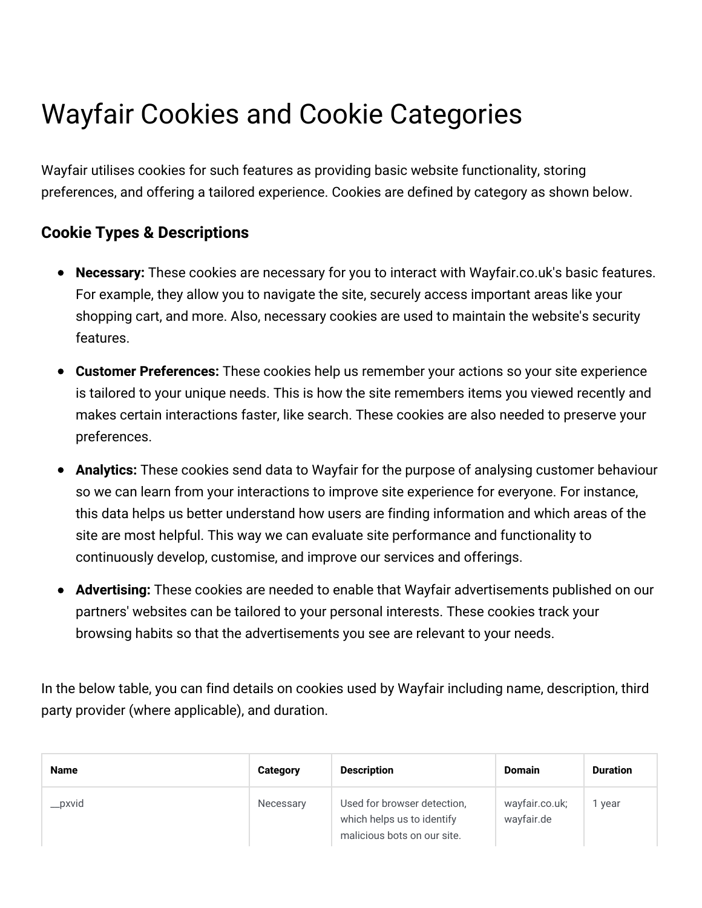# Wayfair Cookies and Cookie Categories

Wayfair utilises cookies for such features as providing basic website functionality, storing preferences, and offering a tailored experience. Cookies are defined by category as shown below.

## **Cookie Types & Descriptions**

- **Necessary:** These cookies are necessary for you to interact with Wayfair.co.uk's basic features. For example, they allow you to navigate the site, securely access important areas like your shopping cart, and more. Also, necessary cookies are used to maintain the website's security features.
- **Customer Preferences:** These cookies help us remember your actions so your site experience is tailored to your unique needs. This is how the site remembers items you viewed recently and makes certain interactions faster, like search. These cookies are also needed to preserve your preferences.
- **Analytics:** These cookies send data to Wayfair for the purpose of analysing customer behaviour so we can learn from your interactions to improve site experience for everyone. For instance, this data helps us better understand how users are finding information and which areas of the site are most helpful. This way we can evaluate site performance and functionality to continuously develop, customise, and improve our services and offerings.
- **Advertising:** These cookies are needed to enable that Wayfair advertisements published on our  $\bullet$ partners' websites can be tailored to your personal interests. These cookies track your browsing habits so that the advertisements you see are relevant to your needs.

In the below table, you can find details on cookies used by Wayfair including name, description, third party provider (where applicable), and duration.

| <b>Name</b> | Category  | <b>Description</b>                                                                       | <b>Domain</b>                | <b>Duration</b> |
|-------------|-----------|------------------------------------------------------------------------------------------|------------------------------|-----------------|
| __pxvid     | Necessary | Used for browser detection.<br>which helps us to identify<br>malicious bots on our site. | wayfair.co.uk;<br>wayfair.de | vear            |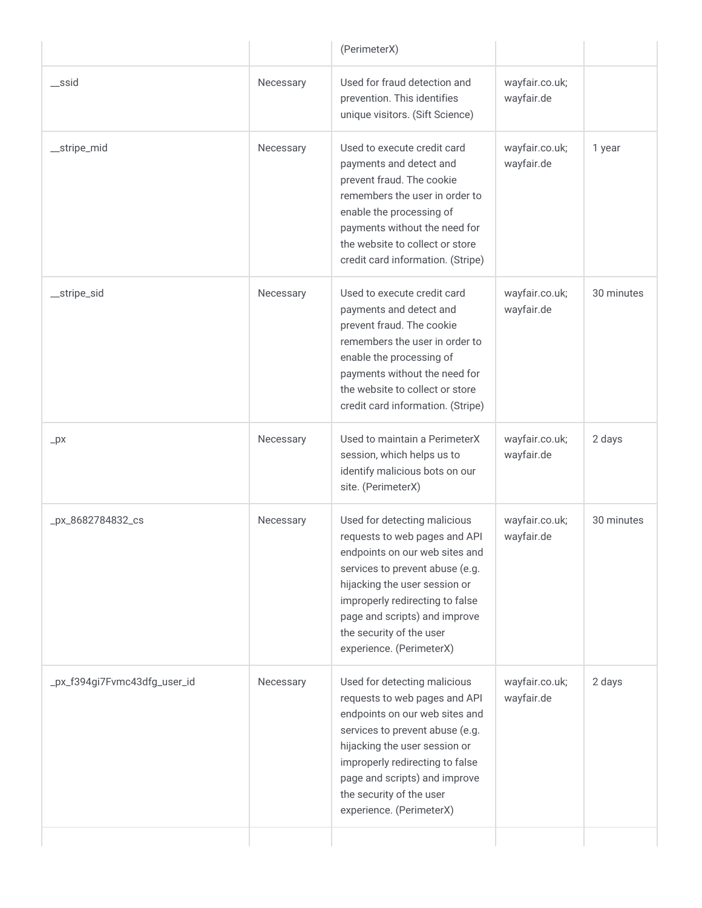|                              |           | (PerimeterX)                                                                                                                                                                                                                                                                                    |                              |            |
|------------------------------|-----------|-------------------------------------------------------------------------------------------------------------------------------------------------------------------------------------------------------------------------------------------------------------------------------------------------|------------------------------|------------|
| $\equiv$ ssid                | Necessary | Used for fraud detection and<br>prevention. This identifies<br>unique visitors. (Sift Science)                                                                                                                                                                                                  | wayfair.co.uk;<br>wayfair.de |            |
| _stripe_mid                  | Necessary | Used to execute credit card<br>payments and detect and<br>prevent fraud. The cookie<br>remembers the user in order to<br>enable the processing of<br>payments without the need for<br>the website to collect or store<br>credit card information. (Stripe)                                      | wayfair.co.uk;<br>wayfair.de | 1 year     |
| __stripe_sid                 | Necessary | Used to execute credit card<br>payments and detect and<br>prevent fraud. The cookie<br>remembers the user in order to<br>enable the processing of<br>payments without the need for<br>the website to collect or store<br>credit card information. (Stripe)                                      | wayfair.co.uk;<br>wayfair.de | 30 minutes |
| $-px$                        | Necessary | Used to maintain a PerimeterX<br>session, which helps us to<br>identify malicious bots on our<br>site. (PerimeterX)                                                                                                                                                                             | wayfair.co.uk;<br>wayfair.de | 2 days     |
| _px_8682784832_cs            | Necessary | Used for detecting malicious<br>requests to web pages and API<br>endpoints on our web sites and<br>services to prevent abuse (e.g.<br>hijacking the user session or<br>improperly redirecting to false<br>page and scripts) and improve<br>the security of the user<br>experience. (PerimeterX) | wayfair.co.uk;<br>wayfair.de | 30 minutes |
| _px_f394gi7Fvmc43dfg_user_id | Necessary | Used for detecting malicious<br>requests to web pages and API<br>endpoints on our web sites and<br>services to prevent abuse (e.g.<br>hijacking the user session or<br>improperly redirecting to false<br>page and scripts) and improve<br>the security of the user<br>experience. (PerimeterX) | wayfair.co.uk;<br>wayfair.de | 2 days     |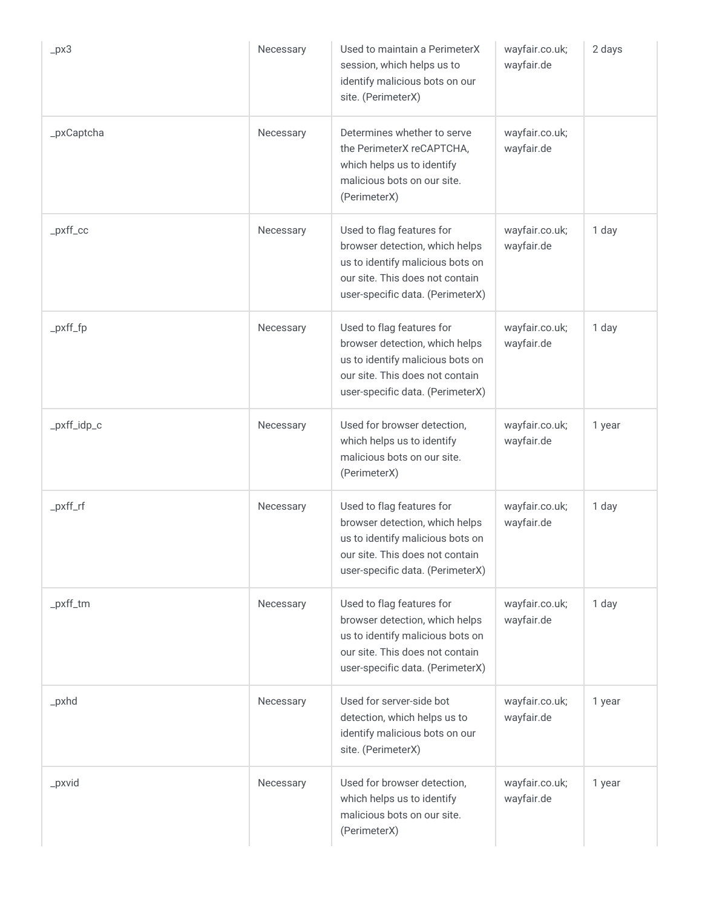| $-px3$      | Necessary | Used to maintain a PerimeterX<br>session, which helps us to<br>identify malicious bots on our<br>site. (PerimeterX)                                                    | wayfair.co.uk;<br>wayfair.de | 2 days |
|-------------|-----------|------------------------------------------------------------------------------------------------------------------------------------------------------------------------|------------------------------|--------|
| _pxCaptcha  | Necessary | Determines whether to serve<br>the PerimeterX reCAPTCHA,<br>which helps us to identify<br>malicious bots on our site.<br>(PerimeterX)                                  | wayfair.co.uk;<br>wayfair.de |        |
| $pxff\_cc$  | Necessary | Used to flag features for<br>browser detection, which helps<br>us to identify malicious bots on<br>our site. This does not contain<br>user-specific data. (PerimeterX) | wayfair.co.uk;<br>wayfair.de | 1 day  |
| $pxf_f$     | Necessary | Used to flag features for<br>browser detection, which helps<br>us to identify malicious bots on<br>our site. This does not contain<br>user-specific data. (PerimeterX) | wayfair.co.uk;<br>wayfair.de | 1 day  |
| _pxff_idp_c | Necessary | Used for browser detection,<br>which helps us to identify<br>malicious bots on our site.<br>(PerimeterX)                                                               | wayfair.co.uk;<br>wayfair.de | 1 year |
| $pxf_f$     | Necessary | Used to flag features for<br>browser detection, which helps<br>us to identify malicious bots on<br>our site. This does not contain<br>user-specific data. (PerimeterX) | wayfair.co.uk;<br>wayfair.de | 1 day  |
| _pxff_tm    | Necessary | Used to flag features for<br>browser detection, which helps<br>us to identify malicious bots on<br>our site. This does not contain<br>user-specific data. (PerimeterX) | wayfair.co.uk;<br>wayfair.de | 1 day  |
| $-pxhd$     | Necessary | Used for server-side bot<br>detection, which helps us to<br>identify malicious bots on our<br>site. (PerimeterX)                                                       | wayfair.co.uk;<br>wayfair.de | 1 year |
| $\_pxvid$   | Necessary | Used for browser detection,<br>which helps us to identify<br>malicious bots on our site.<br>(PerimeterX)                                                               | wayfair.co.uk;<br>wayfair.de | 1 year |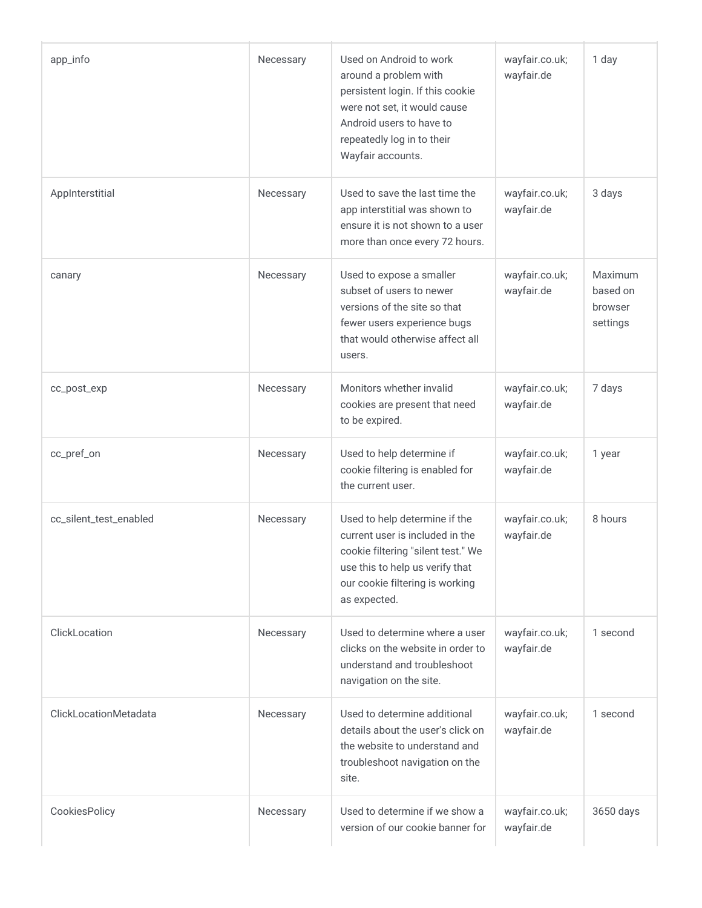| app_info               | Necessary | Used on Android to work<br>around a problem with<br>persistent login. If this cookie<br>were not set, it would cause<br>Android users to have to<br>repeatedly log in to their<br>Wayfair accounts. | wayfair.co.uk;<br>wayfair.de | 1 day                                      |
|------------------------|-----------|-----------------------------------------------------------------------------------------------------------------------------------------------------------------------------------------------------|------------------------------|--------------------------------------------|
| AppInterstitial        | Necessary | Used to save the last time the<br>app interstitial was shown to<br>ensure it is not shown to a user<br>more than once every 72 hours.                                                               | wayfair.co.uk;<br>wayfair.de | 3 days                                     |
| canary                 | Necessary | Used to expose a smaller<br>subset of users to newer<br>versions of the site so that<br>fewer users experience bugs<br>that would otherwise affect all<br>users.                                    | wayfair.co.uk;<br>wayfair.de | Maximum<br>based on<br>browser<br>settings |
| cc_post_exp            | Necessary | Monitors whether invalid<br>cookies are present that need<br>to be expired.                                                                                                                         | wayfair.co.uk;<br>wayfair.de | 7 days                                     |
| cc_pref_on             | Necessary | Used to help determine if<br>cookie filtering is enabled for<br>the current user.                                                                                                                   | wayfair.co.uk;<br>wayfair.de | 1 year                                     |
| cc_silent_test_enabled | Necessary | Used to help determine if the<br>current user is included in the<br>cookie filtering "silent test." We<br>use this to help us verify that<br>our cookie filtering is working<br>as expected.        | wayfair.co.uk;<br>wayfair.de | 8 hours                                    |
| ClickLocation          | Necessary | Used to determine where a user<br>clicks on the website in order to<br>understand and troubleshoot<br>navigation on the site.                                                                       | wayfair.co.uk;<br>wayfair.de | 1 second                                   |
| ClickLocationMetadata  | Necessary | Used to determine additional<br>details about the user's click on<br>the website to understand and<br>troubleshoot navigation on the<br>site.                                                       | wayfair.co.uk;<br>wayfair.de | 1 second                                   |
| CookiesPolicy          | Necessary | Used to determine if we show a<br>version of our cookie banner for                                                                                                                                  | wayfair.co.uk;<br>wayfair.de | 3650 days                                  |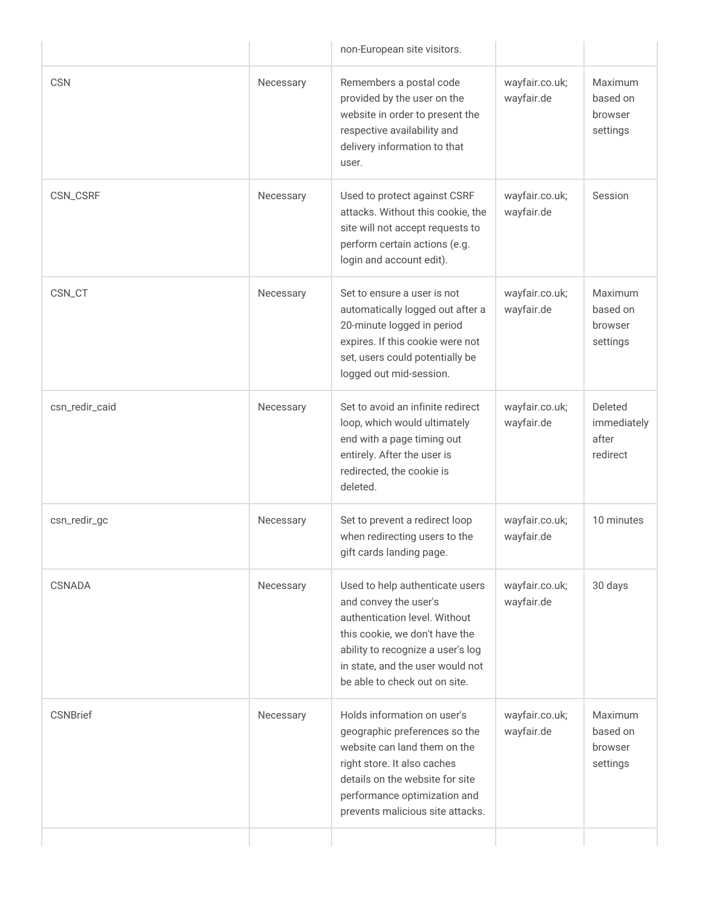|                 |           | non-European site visitors.                                                                                                                                                                                                           |                              |                                             |
|-----------------|-----------|---------------------------------------------------------------------------------------------------------------------------------------------------------------------------------------------------------------------------------------|------------------------------|---------------------------------------------|
| <b>CSN</b>      | Necessary | Remembers a postal code<br>provided by the user on the<br>website in order to present the<br>respective availability and<br>delivery information to that<br>user.                                                                     | wayfair.co.uk;<br>wayfair.de | Maximum<br>based on<br>browser<br>settings  |
| CSN_CSRF        | Necessary | Used to protect against CSRF<br>attacks. Without this cookie, the<br>site will not accept requests to<br>perform certain actions (e.g.<br>login and account edit).                                                                    | wayfair.co.uk;<br>wayfair.de | Session                                     |
| CSN_CT          | Necessary | Set to ensure a user is not<br>automatically logged out after a<br>20-minute logged in period<br>expires. If this cookie were not<br>set, users could potentially be<br>logged out mid-session.                                       | wayfair.co.uk;<br>wayfair.de | Maximum<br>based on<br>browser<br>settings  |
| csn_redir_caid  | Necessary | Set to avoid an infinite redirect<br>loop, which would ultimately<br>end with a page timing out<br>entirely. After the user is<br>redirected, the cookie is<br>deleted.                                                               | wayfair.co.uk;<br>wayfair.de | Deleted<br>immediately<br>after<br>redirect |
| csn_redir_gc    | Necessary | Set to prevent a redirect loop<br>when redirecting users to the<br>gift cards landing page.                                                                                                                                           | wayfair.co.uk;<br>wayfair.de | 10 minutes                                  |
| CSNADA          | Necessary | Used to help authenticate users<br>and convey the user's<br>authentication level. Without<br>this cookie, we don't have the<br>ability to recognize a user's log<br>in state, and the user would not<br>be able to check out on site. | wayfair.co.uk;<br>wayfair.de | 30 days                                     |
| <b>CSNBrief</b> | Necessary | Holds information on user's<br>geographic preferences so the<br>website can land them on the<br>right store. It also caches<br>details on the website for site<br>performance optimization and<br>prevents malicious site attacks.    | wayfair.co.uk;<br>wayfair.de | Maximum<br>based on<br>browser<br>settings  |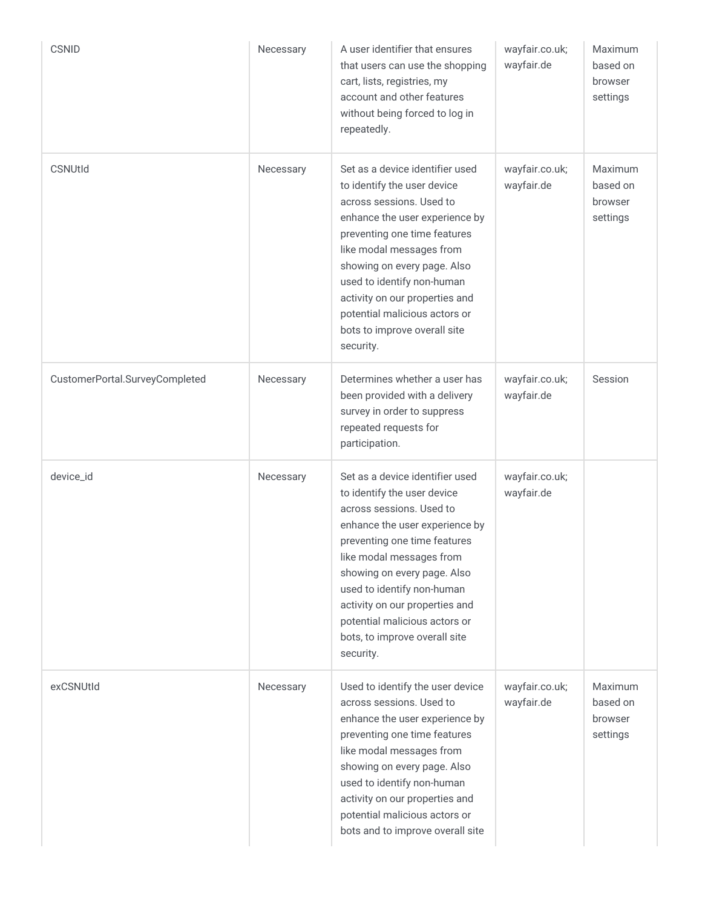| <b>CSNID</b>                   | Necessary | A user identifier that ensures<br>that users can use the shopping<br>cart, lists, registries, my<br>account and other features<br>without being forced to log in<br>repeatedly.                                                                                                                                                                                        | wayfair.co.uk;<br>wayfair.de | Maximum<br>based on<br>browser<br>settings        |
|--------------------------------|-----------|------------------------------------------------------------------------------------------------------------------------------------------------------------------------------------------------------------------------------------------------------------------------------------------------------------------------------------------------------------------------|------------------------------|---------------------------------------------------|
| <b>CSNUtId</b>                 | Necessary | Set as a device identifier used<br>to identify the user device<br>across sessions. Used to<br>enhance the user experience by<br>preventing one time features<br>like modal messages from<br>showing on every page. Also<br>used to identify non-human<br>activity on our properties and<br>potential malicious actors or<br>bots to improve overall site<br>security.  | wayfair.co.uk;<br>wayfair.de | <b>Maximum</b><br>based on<br>browser<br>settings |
| CustomerPortal.SurveyCompleted | Necessary | Determines whether a user has<br>been provided with a delivery<br>survey in order to suppress<br>repeated requests for<br>participation.                                                                                                                                                                                                                               | wayfair.co.uk;<br>wayfair.de | Session                                           |
| device_id                      | Necessary | Set as a device identifier used<br>to identify the user device<br>across sessions. Used to<br>enhance the user experience by<br>preventing one time features<br>like modal messages from<br>showing on every page. Also<br>used to identify non-human<br>activity on our properties and<br>potential malicious actors or<br>bots, to improve overall site<br>security. | wayfair.co.uk;<br>wayfair.de |                                                   |
| exCSNUtId                      | Necessary | Used to identify the user device<br>across sessions. Used to<br>enhance the user experience by<br>preventing one time features<br>like modal messages from<br>showing on every page. Also<br>used to identify non-human<br>activity on our properties and<br>potential malicious actors or<br>bots and to improve overall site                                         | wayfair.co.uk;<br>wayfair.de | <b>Maximum</b><br>based on<br>browser<br>settings |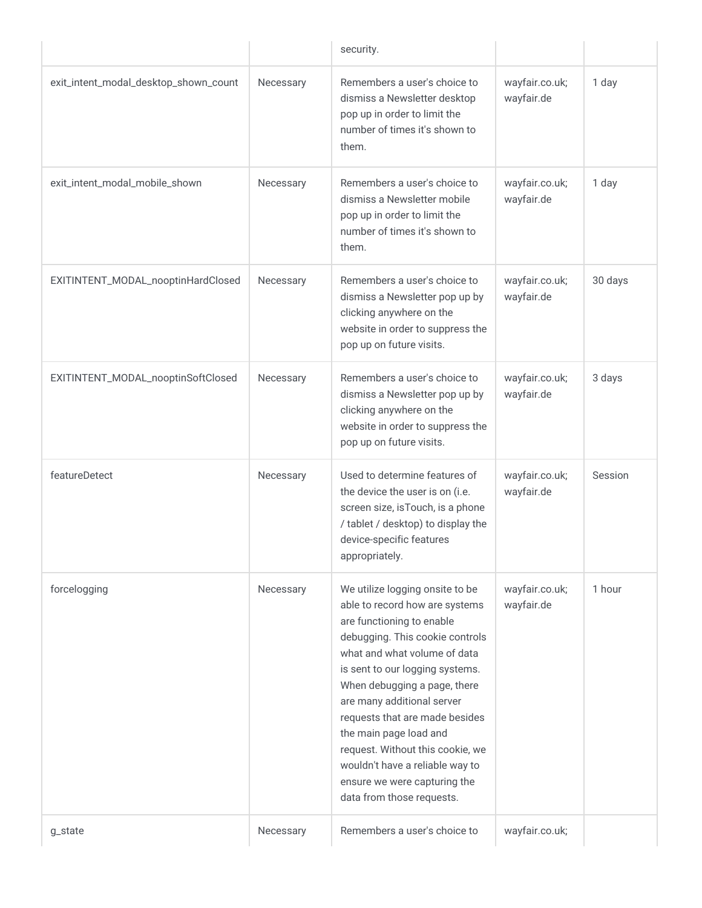|                                       |           | security.                                                                                                                                                                                                                                                                                                                                                                                                                                                          |                              |         |
|---------------------------------------|-----------|--------------------------------------------------------------------------------------------------------------------------------------------------------------------------------------------------------------------------------------------------------------------------------------------------------------------------------------------------------------------------------------------------------------------------------------------------------------------|------------------------------|---------|
| exit_intent_modal_desktop_shown_count | Necessary | Remembers a user's choice to<br>dismiss a Newsletter desktop<br>pop up in order to limit the<br>number of times it's shown to<br>them.                                                                                                                                                                                                                                                                                                                             | wayfair.co.uk;<br>wayfair.de | 1 day   |
| exit_intent_modal_mobile_shown        | Necessary | Remembers a user's choice to<br>dismiss a Newsletter mobile<br>pop up in order to limit the<br>number of times it's shown to<br>them.                                                                                                                                                                                                                                                                                                                              | wayfair.co.uk;<br>wayfair.de | 1 day   |
| EXITINTENT_MODAL_nooptinHardClosed    | Necessary | Remembers a user's choice to<br>dismiss a Newsletter pop up by<br>clicking anywhere on the<br>website in order to suppress the<br>pop up on future visits.                                                                                                                                                                                                                                                                                                         | wayfair.co.uk;<br>wayfair.de | 30 days |
| EXITINTENT_MODAL_nooptinSoftClosed    | Necessary | Remembers a user's choice to<br>dismiss a Newsletter pop up by<br>clicking anywhere on the<br>website in order to suppress the<br>pop up on future visits.                                                                                                                                                                                                                                                                                                         | wayfair.co.uk;<br>wayfair.de | 3 days  |
| featureDetect                         | Necessary | Used to determine features of<br>the device the user is on (i.e.<br>screen size, isTouch, is a phone<br>/ tablet / desktop) to display the<br>device-specific features<br>appropriately.                                                                                                                                                                                                                                                                           | wayfair.co.uk;<br>wayfair.de | Session |
| forcelogging                          | Necessary | We utilize logging onsite to be<br>able to record how are systems<br>are functioning to enable<br>debugging. This cookie controls<br>what and what volume of data<br>is sent to our logging systems.<br>When debugging a page, there<br>are many additional server<br>requests that are made besides<br>the main page load and<br>request. Without this cookie, we<br>wouldn't have a reliable way to<br>ensure we were capturing the<br>data from those requests. | wayfair.co.uk;<br>wayfair.de | 1 hour  |
| g_state                               | Necessary | Remembers a user's choice to                                                                                                                                                                                                                                                                                                                                                                                                                                       | wayfair.co.uk;               |         |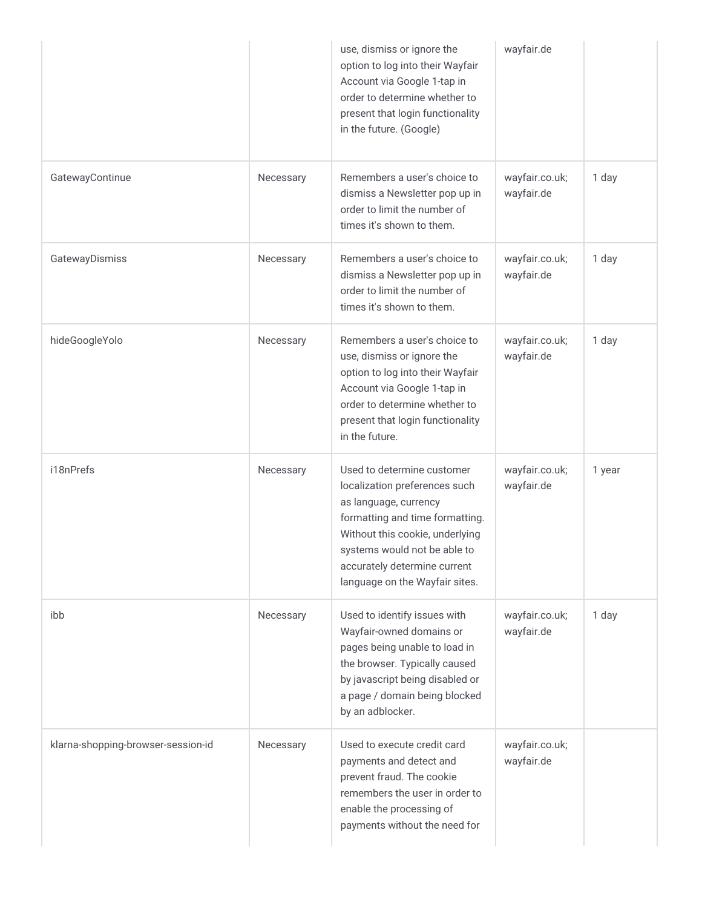|                                    |           | use, dismiss or ignore the<br>option to log into their Wayfair<br>Account via Google 1-tap in<br>order to determine whether to<br>present that login functionality<br>in the future. (Google)                                                                | wayfair.de                   |        |
|------------------------------------|-----------|--------------------------------------------------------------------------------------------------------------------------------------------------------------------------------------------------------------------------------------------------------------|------------------------------|--------|
| GatewayContinue                    | Necessary | Remembers a user's choice to<br>dismiss a Newsletter pop up in<br>order to limit the number of<br>times it's shown to them.                                                                                                                                  | wayfair.co.uk;<br>wayfair.de | 1 day  |
| GatewayDismiss                     | Necessary | Remembers a user's choice to<br>dismiss a Newsletter pop up in<br>order to limit the number of<br>times it's shown to them.                                                                                                                                  | wayfair.co.uk;<br>wayfair.de | 1 day  |
| hideGoogleYolo                     | Necessary | Remembers a user's choice to<br>use, dismiss or ignore the<br>option to log into their Wayfair<br>Account via Google 1-tap in<br>order to determine whether to<br>present that login functionality<br>in the future.                                         | wayfair.co.uk;<br>wayfair.de | 1 day  |
| i18nPrefs                          | Necessary | Used to determine customer<br>localization preferences such<br>as language, currency<br>formatting and time formatting.<br>Without this cookie, underlying<br>systems would not be able to<br>accurately determine current<br>language on the Wayfair sites. | wayfair.co.uk;<br>wayfair.de | 1 year |
| ibb                                | Necessary | Used to identify issues with<br>Wayfair-owned domains or<br>pages being unable to load in<br>the browser. Typically caused<br>by javascript being disabled or<br>a page / domain being blocked<br>by an adblocker.                                           | wayfair.co.uk;<br>wayfair.de | 1 day  |
| klarna-shopping-browser-session-id | Necessary | Used to execute credit card<br>payments and detect and<br>prevent fraud. The cookie<br>remembers the user in order to<br>enable the processing of<br>payments without the need for                                                                           | wayfair.co.uk;<br>wayfair.de |        |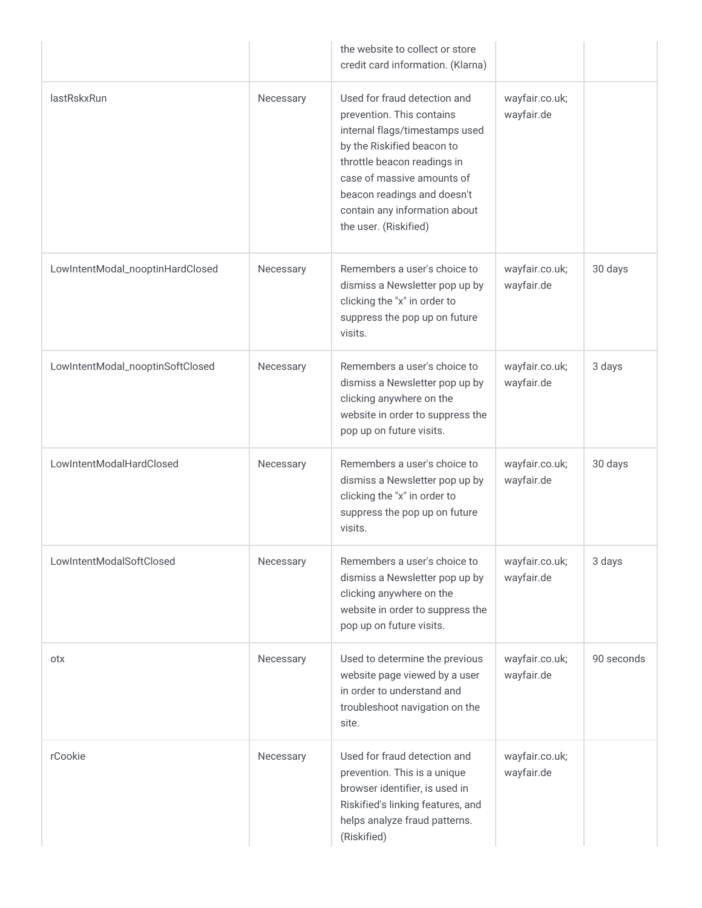|                                  |           | the website to collect or store<br>credit card information. (Klarna)                                                                                                                                                                                                            |                              |            |
|----------------------------------|-----------|---------------------------------------------------------------------------------------------------------------------------------------------------------------------------------------------------------------------------------------------------------------------------------|------------------------------|------------|
| lastRskxRun                      | Necessary | Used for fraud detection and<br>prevention. This contains<br>internal flags/timestamps used<br>by the Riskified beacon to<br>throttle beacon readings in<br>case of massive amounts of<br>beacon readings and doesn't<br>contain any information about<br>the user. (Riskified) | wayfair.co.uk;<br>wayfair.de |            |
| LowIntentModal_nooptinHardClosed | Necessary | Remembers a user's choice to<br>dismiss a Newsletter pop up by<br>clicking the "x" in order to<br>suppress the pop up on future<br>visits.                                                                                                                                      | wayfair.co.uk;<br>wayfair.de | 30 days    |
| LowIntentModal_nooptinSoftClosed | Necessary | Remembers a user's choice to<br>dismiss a Newsletter pop up by<br>clicking anywhere on the<br>website in order to suppress the<br>pop up on future visits.                                                                                                                      | wayfair.co.uk;<br>wayfair.de | 3 days     |
| LowIntentModalHardClosed         | Necessary | Remembers a user's choice to<br>dismiss a Newsletter pop up by<br>clicking the "x" in order to<br>suppress the pop up on future<br>visits.                                                                                                                                      | wayfair.co.uk;<br>wayfair.de | 30 days    |
| LowIntentModalSoftClosed         | Necessary | Remembers a user's choice to<br>dismiss a Newsletter pop up by<br>clicking anywhere on the<br>website in order to suppress the<br>pop up on future visits.                                                                                                                      | wayfair.co.uk;<br>wayfair.de | 3 days     |
| otx                              | Necessary | Used to determine the previous<br>website page viewed by a user<br>in order to understand and<br>troubleshoot navigation on the<br>site.                                                                                                                                        | wayfair.co.uk;<br>wayfair.de | 90 seconds |
| rCookie                          | Necessary | Used for fraud detection and<br>prevention. This is a unique<br>browser identifier, is used in<br>Riskified's linking features, and<br>helps analyze fraud patterns.<br>(Riskified)                                                                                             | wayfair.co.uk;<br>wayfair.de |            |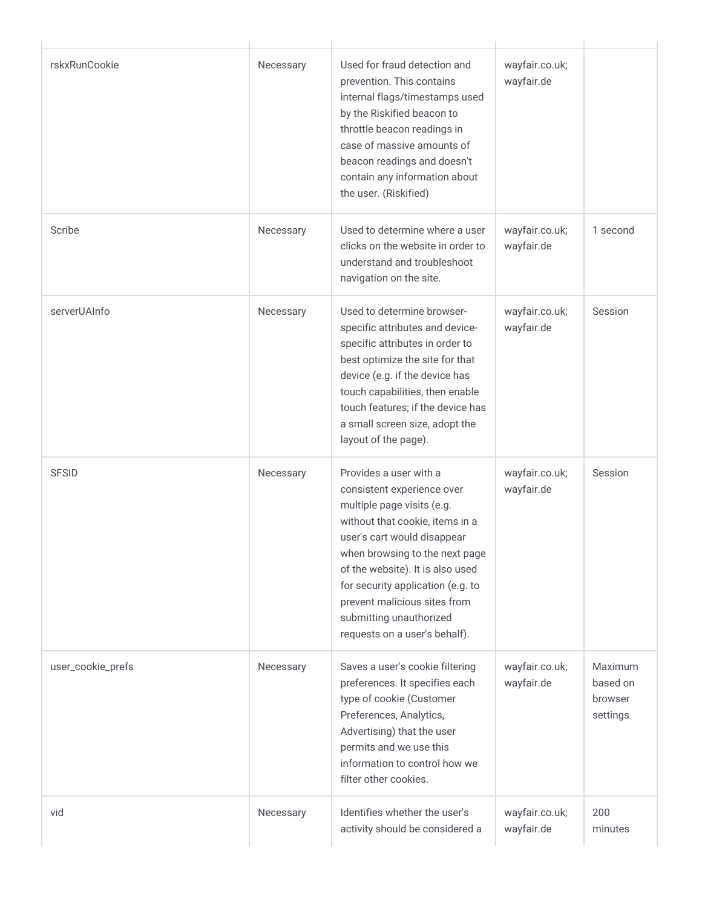| rskxRunCookie     | Necessary | Used for fraud detection and<br>prevention. This contains<br>internal flags/timestamps used<br>by the Riskified beacon to<br>throttle beacon readings in<br>case of massive amounts of<br>beacon readings and doesn't<br>contain any information about<br>the user. (Riskified)                                                                             | wayfair.co.uk;<br>wayfair.de |                                            |
|-------------------|-----------|-------------------------------------------------------------------------------------------------------------------------------------------------------------------------------------------------------------------------------------------------------------------------------------------------------------------------------------------------------------|------------------------------|--------------------------------------------|
| Scribe            | Necessary | Used to determine where a user<br>clicks on the website in order to<br>understand and troubleshoot<br>navigation on the site.                                                                                                                                                                                                                               | wayfair.co.uk;<br>wayfair.de | 1 second                                   |
| serverUAInfo      | Necessary | Used to determine browser-<br>specific attributes and device-<br>specific attributes in order to<br>best optimize the site for that<br>device (e.g. if the device has<br>touch capabilities, then enable<br>touch features; if the device has<br>a small screen size, adopt the<br>layout of the page).                                                     | wayfair.co.uk;<br>wayfair.de | Session                                    |
| <b>SFSID</b>      | Necessary | Provides a user with a<br>consistent experience over<br>multiple page visits (e.g.<br>without that cookie, items in a<br>user's cart would disappear<br>when browsing to the next page<br>of the website). It is also used<br>for security application (e.g. to<br>prevent malicious sites from<br>submitting unauthorized<br>requests on a user's behalf). | wayfair.co.uk;<br>wayfair.de | Session                                    |
| user_cookie_prefs | Necessary | Saves a user's cookie filtering<br>preferences. It specifies each<br>type of cookie (Customer<br>Preferences, Analytics,<br>Advertising) that the user<br>permits and we use this<br>information to control how we<br>filter other cookies.                                                                                                                 | wayfair.co.uk;<br>wayfair.de | Maximum<br>based on<br>browser<br>settings |
| vid               | Necessary | Identifies whether the user's<br>activity should be considered a                                                                                                                                                                                                                                                                                            | wayfair.co.uk;<br>wayfair.de | 200<br>minutes                             |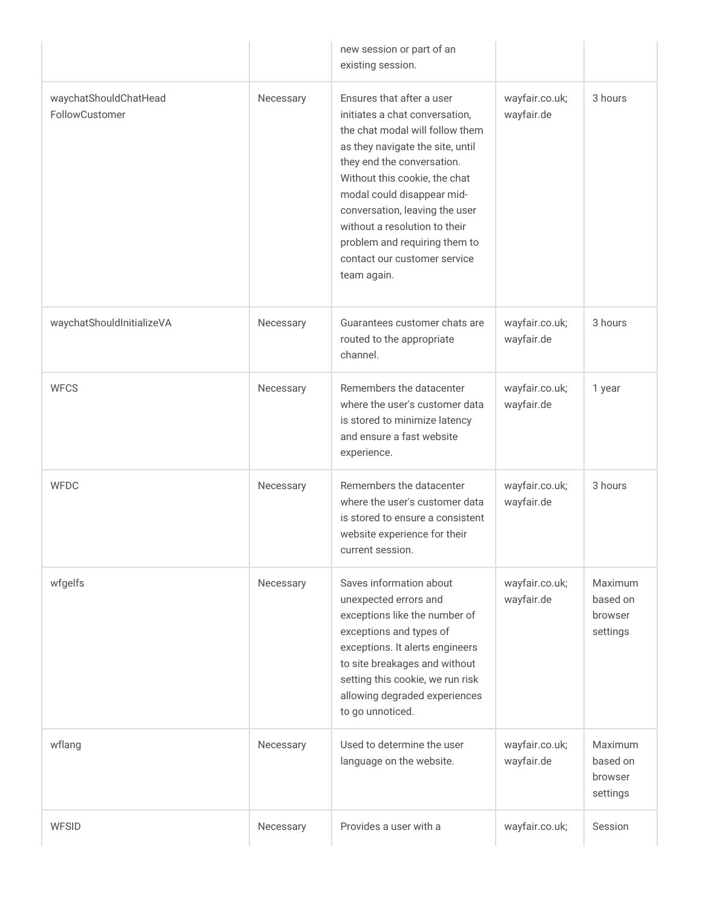|                                         |           | new session or part of an<br>existing session.                                                                                                                                                                                                                                                                                                                                     |                              |                                            |
|-----------------------------------------|-----------|------------------------------------------------------------------------------------------------------------------------------------------------------------------------------------------------------------------------------------------------------------------------------------------------------------------------------------------------------------------------------------|------------------------------|--------------------------------------------|
| waychatShouldChatHead<br>FollowCustomer | Necessary | Ensures that after a user<br>initiates a chat conversation,<br>the chat modal will follow them<br>as they navigate the site, until<br>they end the conversation.<br>Without this cookie, the chat<br>modal could disappear mid-<br>conversation, leaving the user<br>without a resolution to their<br>problem and requiring them to<br>contact our customer service<br>team again. | wayfair.co.uk;<br>wayfair.de | 3 hours                                    |
| waychatShouldInitializeVA               | Necessary | Guarantees customer chats are<br>routed to the appropriate<br>channel.                                                                                                                                                                                                                                                                                                             | wayfair.co.uk;<br>wayfair.de | 3 hours                                    |
| <b>WFCS</b>                             | Necessary | Remembers the datacenter<br>where the user's customer data<br>is stored to minimize latency<br>and ensure a fast website<br>experience.                                                                                                                                                                                                                                            | wayfair.co.uk;<br>wayfair.de | 1 year                                     |
| <b>WFDC</b>                             | Necessary | Remembers the datacenter<br>where the user's customer data<br>is stored to ensure a consistent<br>website experience for their<br>current session.                                                                                                                                                                                                                                 | wayfair.co.uk;<br>wayfair.de | 3 hours                                    |
| wfgelfs                                 | Necessary | Saves information about<br>unexpected errors and<br>exceptions like the number of<br>exceptions and types of<br>exceptions. It alerts engineers<br>to site breakages and without<br>setting this cookie, we run risk<br>allowing degraded experiences<br>to go unnoticed.                                                                                                          | wayfair.co.uk;<br>wayfair.de | Maximum<br>based on<br>browser<br>settings |
| wflang                                  | Necessary | Used to determine the user<br>language on the website.                                                                                                                                                                                                                                                                                                                             | wayfair.co.uk;<br>wayfair.de | Maximum<br>based on<br>browser<br>settings |
| <b>WFSID</b>                            | Necessary | Provides a user with a                                                                                                                                                                                                                                                                                                                                                             | wayfair.co.uk;               | Session                                    |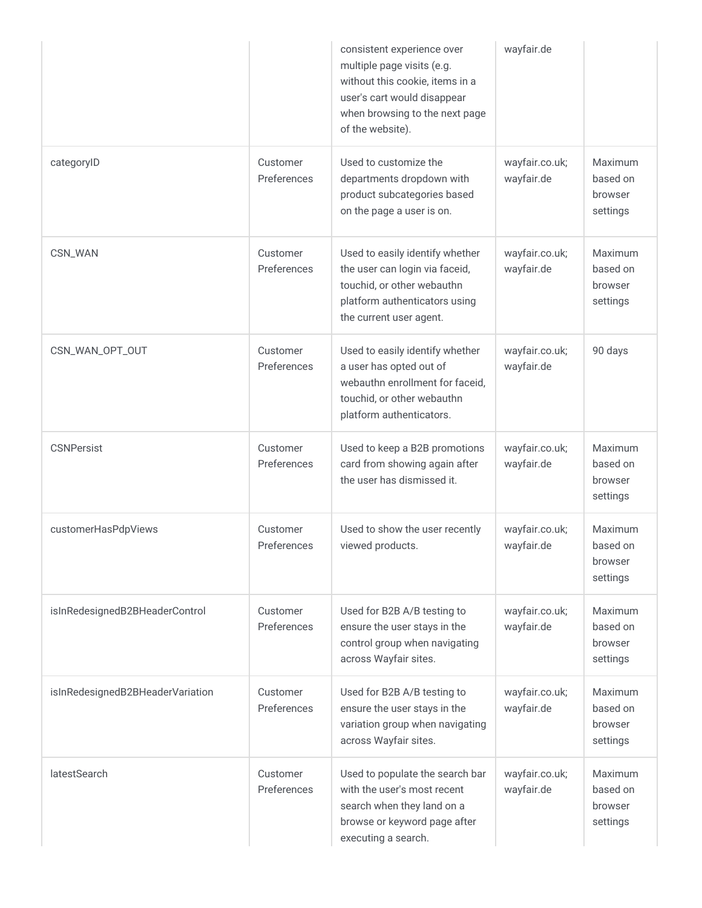|                                  |                         | consistent experience over<br>multiple page visits (e.g.<br>without this cookie, items in a<br>user's cart would disappear<br>when browsing to the next page<br>of the website). | wayfair.de                   |                                            |
|----------------------------------|-------------------------|----------------------------------------------------------------------------------------------------------------------------------------------------------------------------------|------------------------------|--------------------------------------------|
| categoryID                       | Customer<br>Preferences | Used to customize the<br>departments dropdown with<br>product subcategories based<br>on the page a user is on.                                                                   | wayfair.co.uk;<br>wayfair.de | Maximum<br>based on<br>browser<br>settings |
| CSN_WAN                          | Customer<br>Preferences | Used to easily identify whether<br>the user can login via faceid,<br>touchid, or other webauthn<br>platform authenticators using<br>the current user agent.                      | wayfair.co.uk;<br>wayfair.de | Maximum<br>based on<br>browser<br>settings |
| CSN_WAN_OPT_OUT                  | Customer<br>Preferences | Used to easily identify whether<br>a user has opted out of<br>webauthn enrollment for faceid,<br>touchid, or other webauthn<br>platform authenticators.                          | wayfair.co.uk;<br>wayfair.de | 90 days                                    |
| <b>CSNPersist</b>                | Customer<br>Preferences | Used to keep a B2B promotions<br>card from showing again after<br>the user has dismissed it.                                                                                     | wayfair.co.uk;<br>wayfair.de | Maximum<br>based on<br>browser<br>settings |
| customerHasPdpViews              | Customer<br>Preferences | Used to show the user recently<br>viewed products.                                                                                                                               | wayfair.co.uk;<br>wayfair.de | Maximum<br>based on<br>browser<br>settings |
| isInRedesignedB2BHeaderControl   | Customer<br>Preferences | Used for B2B A/B testing to<br>ensure the user stays in the<br>control group when navigating<br>across Wayfair sites.                                                            | wayfair.co.uk;<br>wayfair.de | Maximum<br>based on<br>browser<br>settings |
| isInRedesignedB2BHeaderVariation | Customer<br>Preferences | Used for B2B A/B testing to<br>ensure the user stays in the<br>variation group when navigating<br>across Wayfair sites.                                                          | wayfair.co.uk;<br>wayfair.de | Maximum<br>based on<br>browser<br>settings |
| <b>latestSearch</b>              | Customer<br>Preferences | Used to populate the search bar<br>with the user's most recent<br>search when they land on a<br>browse or keyword page after<br>executing a search.                              | wayfair.co.uk;<br>wayfair.de | Maximum<br>based on<br>browser<br>settings |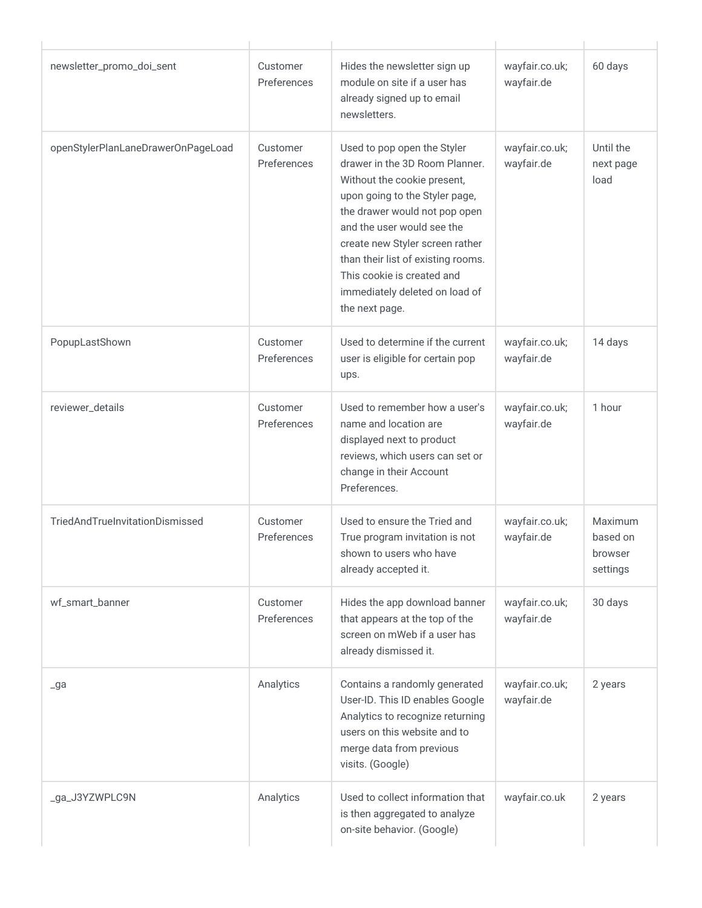| newsletter_promo_doi_sent          | Customer<br>Preferences | Hides the newsletter sign up<br>module on site if a user has<br>already signed up to email<br>newsletters.                                                                                                                                                                                                                                               | wayfair.co.uk;<br>wayfair.de | 60 days                                    |
|------------------------------------|-------------------------|----------------------------------------------------------------------------------------------------------------------------------------------------------------------------------------------------------------------------------------------------------------------------------------------------------------------------------------------------------|------------------------------|--------------------------------------------|
| openStylerPlanLaneDrawerOnPageLoad | Customer<br>Preferences | Used to pop open the Styler<br>drawer in the 3D Room Planner.<br>Without the cookie present,<br>upon going to the Styler page,<br>the drawer would not pop open<br>and the user would see the<br>create new Styler screen rather<br>than their list of existing rooms.<br>This cookie is created and<br>immediately deleted on load of<br>the next page. | wayfair.co.uk;<br>wayfair.de | Until the<br>next page<br>load             |
| PopupLastShown                     | Customer<br>Preferences | Used to determine if the current<br>user is eligible for certain pop<br>ups.                                                                                                                                                                                                                                                                             | wayfair.co.uk;<br>wayfair.de | 14 days                                    |
| reviewer_details                   | Customer<br>Preferences | Used to remember how a user's<br>name and location are<br>displayed next to product<br>reviews, which users can set or<br>change in their Account<br>Preferences.                                                                                                                                                                                        | wayfair.co.uk;<br>wayfair.de | 1 hour                                     |
| TriedAndTrueInvitationDismissed    | Customer<br>Preferences | Used to ensure the Tried and<br>True program invitation is not<br>shown to users who have<br>already accepted it.                                                                                                                                                                                                                                        | wayfair.co.uk;<br>wayfair.de | Maximum<br>based on<br>browser<br>settings |
| wf_smart_banner                    | Customer<br>Preferences | Hides the app download banner<br>that appears at the top of the<br>screen on mWeb if a user has<br>already dismissed it.                                                                                                                                                                                                                                 | wayfair.co.uk;<br>wayfair.de | 30 days                                    |
| $\lrcorner$ ga                     | Analytics               | Contains a randomly generated<br>User-ID. This ID enables Google<br>Analytics to recognize returning<br>users on this website and to<br>merge data from previous<br>visits. (Google)                                                                                                                                                                     | wayfair.co.uk;<br>wayfair.de | 2 years                                    |
| _ga_J3YZWPLC9N                     | Analytics               | Used to collect information that<br>is then aggregated to analyze<br>on-site behavior. (Google)                                                                                                                                                                                                                                                          | wayfair.co.uk                | 2 years                                    |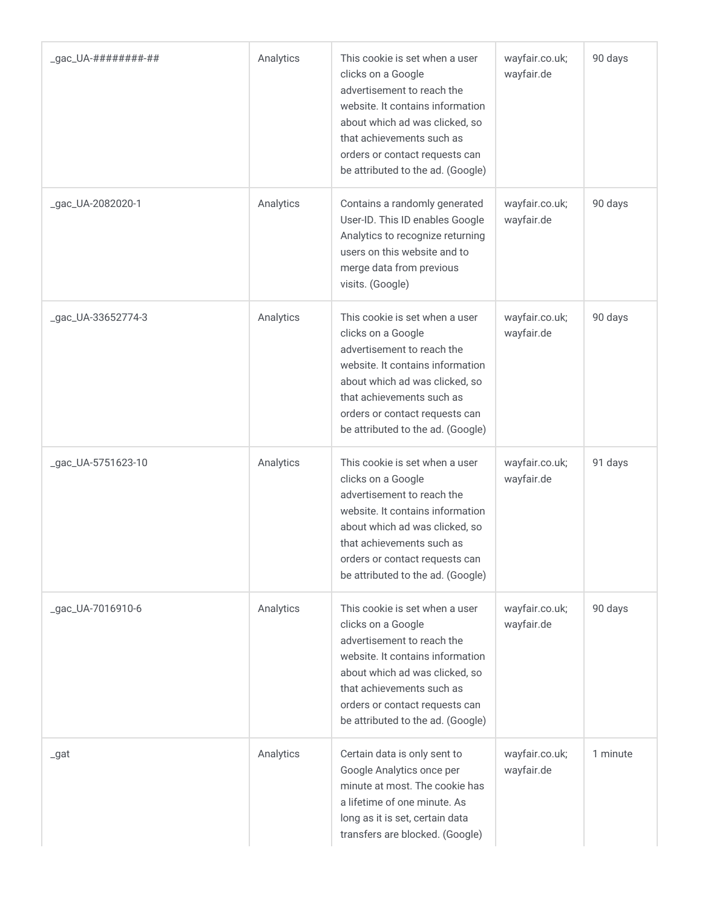| _gac_UA-#########-## | Analytics | This cookie is set when a user<br>clicks on a Google<br>advertisement to reach the<br>website. It contains information<br>about which ad was clicked, so<br>that achievements such as<br>orders or contact requests can<br>be attributed to the ad. (Google) | wayfair.co.uk;<br>wayfair.de | 90 days  |
|----------------------|-----------|--------------------------------------------------------------------------------------------------------------------------------------------------------------------------------------------------------------------------------------------------------------|------------------------------|----------|
| _gac_UA-2082020-1    | Analytics | Contains a randomly generated<br>User-ID. This ID enables Google<br>Analytics to recognize returning<br>users on this website and to<br>merge data from previous<br>visits. (Google)                                                                         | wayfair.co.uk;<br>wayfair.de | 90 days  |
| _gac_UA-33652774-3   | Analytics | This cookie is set when a user<br>clicks on a Google<br>advertisement to reach the<br>website. It contains information<br>about which ad was clicked, so<br>that achievements such as<br>orders or contact requests can<br>be attributed to the ad. (Google) | wayfair.co.uk;<br>wayfair.de | 90 days  |
| _gac_UA-5751623-10   | Analytics | This cookie is set when a user<br>clicks on a Google<br>advertisement to reach the<br>website. It contains information<br>about which ad was clicked, so<br>that achievements such as<br>orders or contact requests can<br>be attributed to the ad. (Google) | wayfair.co.uk;<br>wayfair.de | 91 days  |
| _gac_UA-7016910-6    | Analytics | This cookie is set when a user<br>clicks on a Google<br>advertisement to reach the<br>website. It contains information<br>about which ad was clicked, so<br>that achievements such as<br>orders or contact requests can<br>be attributed to the ad. (Google) | wayfair.co.uk;<br>wayfair.de | 90 days  |
| _gat                 | Analytics | Certain data is only sent to<br>Google Analytics once per<br>minute at most. The cookie has<br>a lifetime of one minute. As<br>long as it is set, certain data<br>transfers are blocked. (Google)                                                            | wayfair.co.uk;<br>wayfair.de | 1 minute |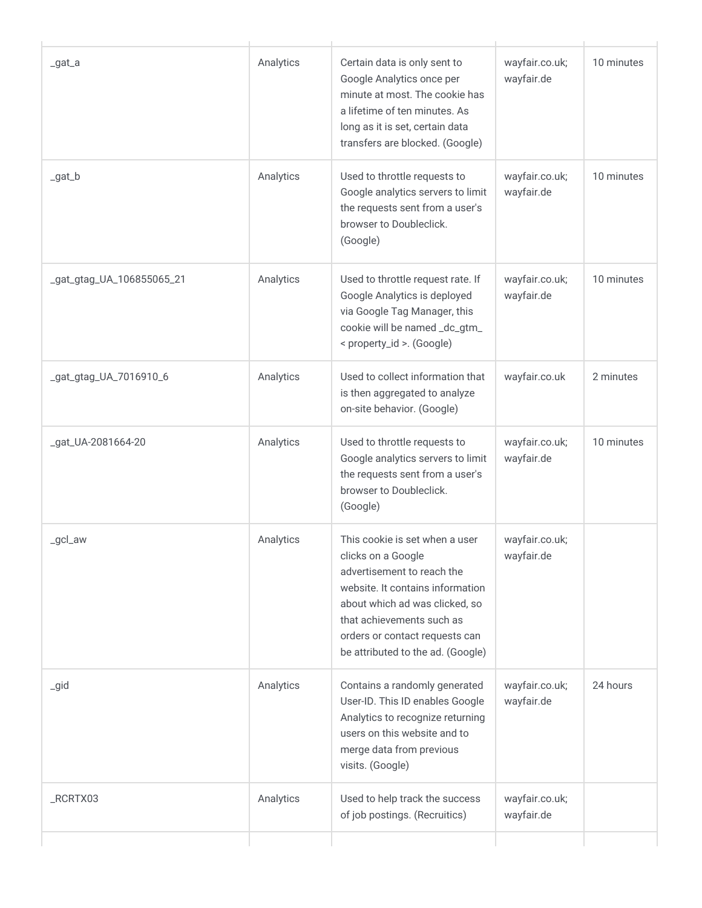| _gat_a                    | Analytics | Certain data is only sent to<br>Google Analytics once per<br>minute at most. The cookie has<br>a lifetime of ten minutes. As<br>long as it is set, certain data<br>transfers are blocked. (Google)                                                           | wayfair.co.uk;<br>wayfair.de | 10 minutes |
|---------------------------|-----------|--------------------------------------------------------------------------------------------------------------------------------------------------------------------------------------------------------------------------------------------------------------|------------------------------|------------|
| $_gat_b$                  | Analytics | Used to throttle requests to<br>Google analytics servers to limit<br>the requests sent from a user's<br>browser to Doubleclick.<br>(Google)                                                                                                                  | wayfair.co.uk;<br>wayfair.de | 10 minutes |
| _gat_gtag_UA_106855065_21 | Analytics | Used to throttle request rate. If<br>Google Analytics is deployed<br>via Google Tag Manager, this<br>cookie will be named_dc_gtm_<br>< property_id >. (Google)                                                                                               | wayfair.co.uk;<br>wayfair.de | 10 minutes |
| _gat_gtag_UA_7016910_6    | Analytics | Used to collect information that<br>is then aggregated to analyze<br>on-site behavior. (Google)                                                                                                                                                              | wayfair.co.uk                | 2 minutes  |
| _gat_UA-2081664-20        | Analytics | Used to throttle requests to<br>Google analytics servers to limit<br>the requests sent from a user's<br>browser to Doubleclick.<br>(Google)                                                                                                                  | wayfair.co.uk;<br>wayfair.de | 10 minutes |
| _gcl_aw                   | Analytics | This cookie is set when a user<br>clicks on a Google<br>advertisement to reach the<br>website. It contains information<br>about which ad was clicked, so<br>that achievements such as<br>orders or contact requests can<br>be attributed to the ad. (Google) | wayfair.co.uk;<br>wayfair.de |            |
| $\_gid$                   | Analytics | Contains a randomly generated<br>User-ID. This ID enables Google<br>Analytics to recognize returning<br>users on this website and to<br>merge data from previous<br>visits. (Google)                                                                         | wayfair.co.uk;<br>wayfair.de | 24 hours   |
| _RCRTX03                  | Analytics | Used to help track the success<br>of job postings. (Recruitics)                                                                                                                                                                                              | wayfair.co.uk;<br>wayfair.de |            |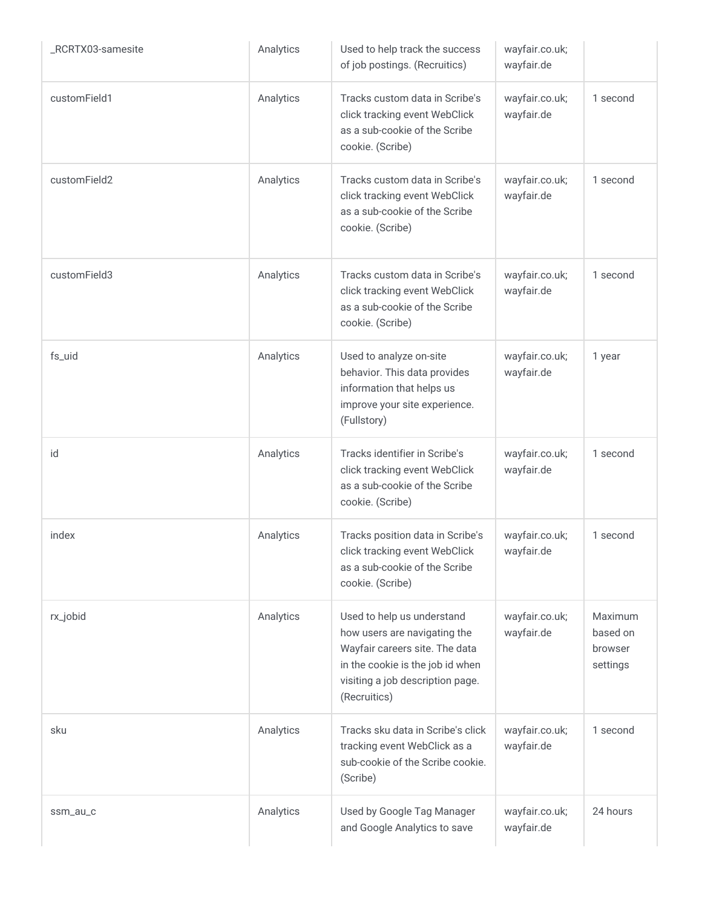| RCRTX03-samesite | Analytics | Used to help track the success<br>of job postings. (Recruitics)                                                                                                                      | wayfair.co.uk;<br>wayfair.de |                                            |
|------------------|-----------|--------------------------------------------------------------------------------------------------------------------------------------------------------------------------------------|------------------------------|--------------------------------------------|
| customField1     | Analytics | Tracks custom data in Scribe's<br>click tracking event WebClick<br>as a sub-cookie of the Scribe<br>cookie. (Scribe)                                                                 | wayfair.co.uk;<br>wayfair.de | 1 second                                   |
| customField2     | Analytics | Tracks custom data in Scribe's<br>click tracking event WebClick<br>as a sub-cookie of the Scribe<br>cookie. (Scribe)                                                                 | wayfair.co.uk;<br>wayfair.de | 1 second                                   |
| customField3     | Analytics | Tracks custom data in Scribe's<br>click tracking event WebClick<br>as a sub-cookie of the Scribe<br>cookie. (Scribe)                                                                 | wayfair.co.uk;<br>wayfair.de | 1 second                                   |
| fs_uid           | Analytics | Used to analyze on-site<br>behavior. This data provides<br>information that helps us<br>improve your site experience.<br>(Fullstory)                                                 | wayfair.co.uk;<br>wayfair.de | 1 year                                     |
| id               | Analytics | Tracks identifier in Scribe's<br>click tracking event WebClick<br>as a sub-cookie of the Scribe<br>cookie. (Scribe)                                                                  | wayfair.co.uk;<br>wayfair.de | 1 second                                   |
| index            | Analytics | Tracks position data in Scribe's<br>click tracking event WebClick<br>as a sub-cookie of the Scribe<br>cookie. (Scribe)                                                               | wayfair.co.uk;<br>wayfair.de | 1 second                                   |
| rx_jobid         | Analytics | Used to help us understand<br>how users are navigating the<br>Wayfair careers site. The data<br>in the cookie is the job id when<br>visiting a job description page.<br>(Recruitics) | wayfair.co.uk;<br>wayfair.de | Maximum<br>based on<br>browser<br>settings |
| sku              | Analytics | Tracks sku data in Scribe's click<br>tracking event WebClick as a<br>sub-cookie of the Scribe cookie.<br>(Scribe)                                                                    | wayfair.co.uk;<br>wayfair.de | 1 second                                   |
| ssm_au_c         | Analytics | Used by Google Tag Manager<br>and Google Analytics to save                                                                                                                           | wayfair.co.uk;<br>wayfair.de | 24 hours                                   |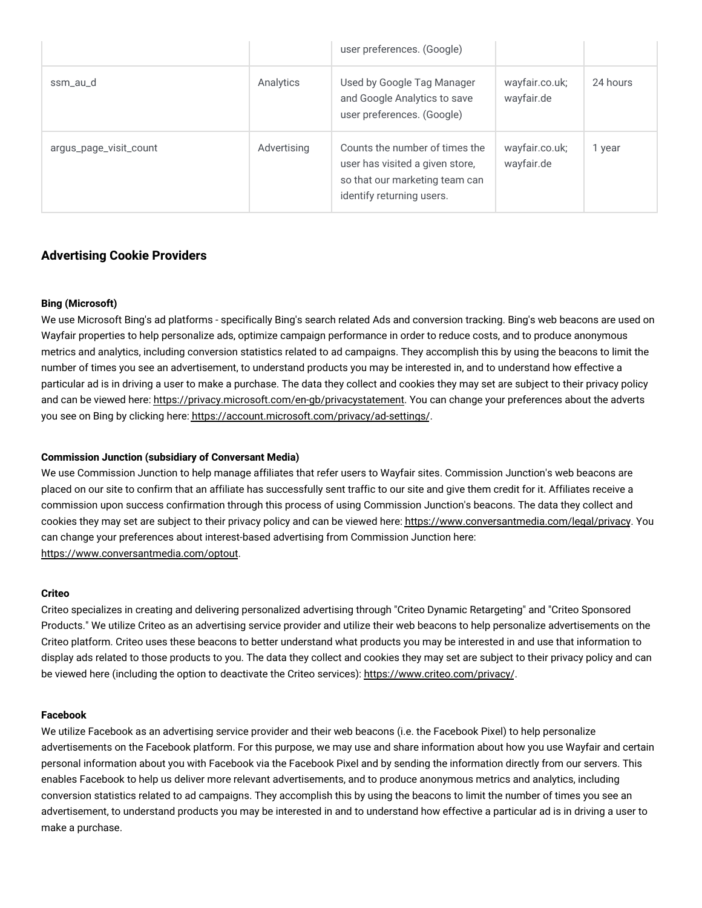|                        |             | user preferences. (Google)                                                                                                       |                              |          |
|------------------------|-------------|----------------------------------------------------------------------------------------------------------------------------------|------------------------------|----------|
| ssm_au_d               | Analytics   | Used by Google Tag Manager<br>and Google Analytics to save<br>user preferences. (Google)                                         | wayfair.co.uk;<br>wayfair.de | 24 hours |
| argus_page_visit_count | Advertising | Counts the number of times the<br>user has visited a given store,<br>so that our marketing team can<br>identify returning users. | wayfair.co.uk;<br>wayfair.de | 1 year   |

### **Advertising Cookie Providers**

#### **Bing (Microsoft)**

We use Microsoft Bing's ad platforms - specifically Bing's search related Ads and conversion tracking. Bing's web beacons are used on Wayfair properties to help personalize ads, optimize campaign performance in order to reduce costs, and to produce anonymous metrics and analytics, including conversion statistics related to ad campaigns. They accomplish this by using the beacons to limit the number of times you see an advertisement, to understand products you may be interested in, and to understand how effective a particular ad is in driving a user to make a purchase. The data they collect and cookies they may set are subject to their privacy policy and can be viewed here: [https://privacy.microsoft.com/en-gb/privacystatement.](https://privacy.microsoft.com/en-gb/privacystatement) You can change your preferences about the adverts you see on Bing by clicking here: [https://account.microsoft.com/privacy/ad-settings/.](https://account.microsoft.com/privacy/ad-settings/)

#### **Commission Junction (subsidiary of Conversant Media)**

We use Commission Junction to help manage affiliates that refer users to Wayfair sites. Commission Junction's web beacons are placed on our site to confirm that an affiliate has successfully sent traffic to our site and give them credit for it. Affiliates receive a commission upon success confirmation through this process of using Commission Junction's beacons. The data they collect and cookies they may set are subject to their privacy policy and can be viewed here: [https://www.conversantmedia.com/legal/privacy.](https://www.conversantmedia.com/legal/privacy) You can change your preferences about interest-based advertising from Commission Junction here: [https://www.conversantmedia.com/optout.](https://www.conversantmedia.com/optout)

#### **Criteo**

Criteo specializes in creating and delivering personalized advertising through "Criteo Dynamic Retargeting" and "Criteo Sponsored Products." We utilize Criteo as an advertising service provider and utilize their web beacons to help personalize advertisements on the Criteo platform. Criteo uses these beacons to better understand what products you may be interested in and use that information to display ads related to those products to you. The data they collect and cookies they may set are subject to their privacy policy and can be viewed here (including the option to deactivate the Criteo services): [https://www.criteo.com/privacy/.](https://www.criteo.com/privacy/)

#### **Facebook**

We utilize Facebook as an advertising service provider and their web beacons (i.e. the Facebook Pixel) to help personalize advertisements on the Facebook platform. For this purpose, we may use and share information about how you use Wayfair and certain personal information about you with Facebook via the Facebook Pixel and by sending the information directly from our servers. This enables Facebook to help us deliver more relevant advertisements, and to produce anonymous metrics and analytics, including conversion statistics related to ad campaigns. They accomplish this by using the beacons to limit the number of times you see an advertisement, to understand products you may be interested in and to understand how effective a particular ad is in driving a user to make a purchase.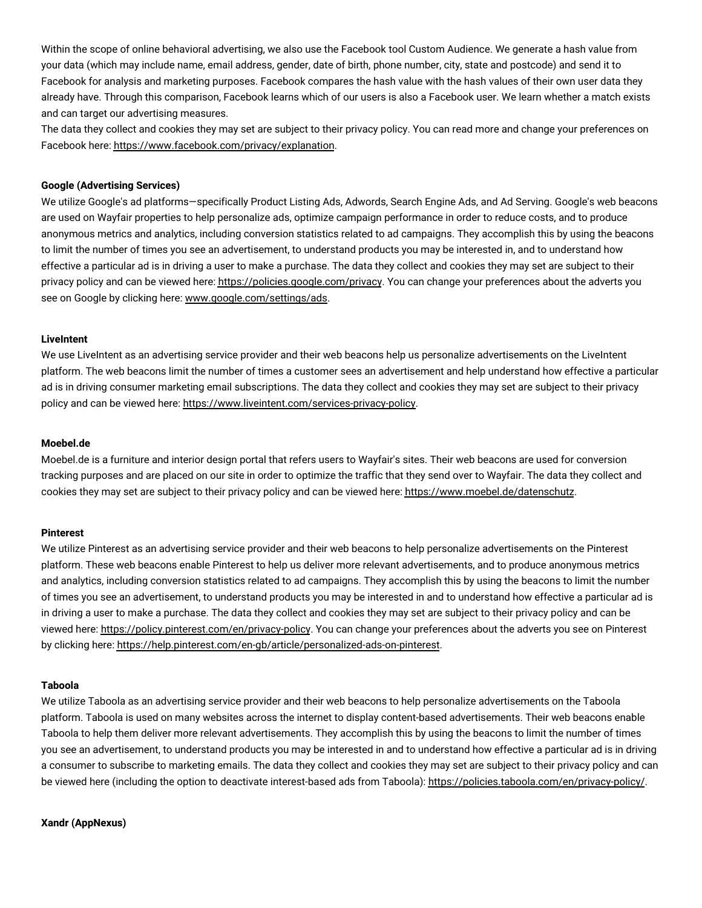Within the scope of online behavioral advertising, we also use the Facebook tool Custom Audience. We generate a hash value from your data (which may include name, email address, gender, date of birth, phone number, city, state and postcode) and send it to Facebook for analysis and marketing purposes. Facebook compares the hash value with the hash values of their own user data they already have. Through this comparison, Facebook learns which of our users is also a Facebook user. We learn whether a match exists and can target our advertising measures.

The data they collect and cookies they may set are subject to their privacy policy. You can read more and change your preferences on Facebook here: [https://www.facebook.com/privacy/explanation.](https://www.facebook.com/privacy/explanation)

#### **Google (Advertising Services)**

We utilize Google's ad platforms—specifically Product Listing Ads, Adwords, Search Engine Ads, and Ad Serving. Google's web beacons are used on Wayfair properties to help personalize ads, optimize campaign performance in order to reduce costs, and to produce anonymous metrics and analytics, including conversion statistics related to ad campaigns. They accomplish this by using the beacons to limit the number of times you see an advertisement, to understand products you may be interested in, and to understand how effective a particular ad is in driving a user to make a purchase. The data they collect and cookies they may set are subject to their privacy policy and can be viewed here: [https://policies.google.com/privacy.](https://policies.google.com/privacy) You can change your preferences about the adverts you see on Google by clicking here: [www.google.com/settings/ads.](www.google.com/settings/ads)

#### **LiveIntent**

We use LiveIntent as an advertising service provider and their web beacons help us personalize advertisements on the LiveIntent platform. The web beacons limit the number of times a customer sees an advertisement and help understand how effective a particular ad is in driving consumer marketing email subscriptions. The data they collect and cookies they may set are subject to their privacy policy and can be viewed here: [https://www.liveintent.com/services-privacy-policy.](https://www.liveintent.com/services-privacy-policy/)

#### **Moebel.de**

Moebel.de is a furniture and interior design portal that refers users to Wayfair's sites. Their web beacons are used for conversion tracking purposes and are placed on our site in order to optimize the traffic that they send over to Wayfair. The data they collect and cookies they may set are subject to their privacy policy and can be viewed here: [https://www.moebel.de/datenschutz.](https://www.moebel.de/datenschutz)

#### **Pinterest**

We utilize Pinterest as an advertising service provider and their web beacons to help personalize advertisements on the Pinterest platform. These web beacons enable Pinterest to help us deliver more relevant advertisements, and to produce anonymous metrics and analytics, including conversion statistics related to ad campaigns. They accomplish this by using the beacons to limit the number of times you see an advertisement, to understand products you may be interested in and to understand how effective a particular ad is in driving a user to make a purchase. The data they collect and cookies they may set are subject to their privacy policy and can be viewed here: [https://policy.pinterest.com/en/privacy-policy.](https://policy.pinterest.com/en/privacy-policy) You can change your preferences about the adverts you see on Pinterest by clicking here: [https://help.pinterest.com/en-gb/article/personalized-ads-on-pinterest.](https://help.pinterest.com/en-gb/article/personalized-ads-on-pinterest)

#### **Taboola**

We utilize Taboola as an advertising service provider and their web beacons to help personalize advertisements on the Taboola platform. Taboola is used on many websites across the internet to display content-based advertisements. Their web beacons enable Taboola to help them deliver more relevant advertisements. They accomplish this by using the beacons to limit the number of times you see an advertisement, to understand products you may be interested in and to understand how effective a particular ad is in driving a consumer to subscribe to marketing emails. The data they collect and cookies they may set are subject to their privacy policy and can be viewed here (including the option to deactivate interest-based ads from Taboola): [https://policies.taboola.com/en/privacy-policy/.](https://policies.taboola.com/en/privacy-policy/)

#### **Xandr (AppNexus)**